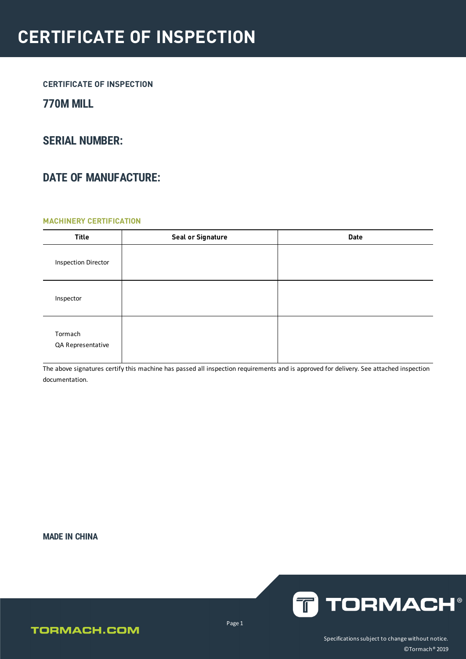### **770M MILL**

### **SERIAL NUMBER:**

### **DATE OF MANUFACTURE:**

#### **MACHINERY CERTIFICATION**

| <b>Title</b>                 | <b>Seal or Signature</b> | <b>Date</b> |
|------------------------------|--------------------------|-------------|
| <b>Inspection Director</b>   |                          |             |
| Inspector                    |                          |             |
| Tormach<br>QA Representative |                          |             |

The above signatures certify this machine has passed all inspection requirements and is approved for delivery. See attached inspection documentation.

**MADE IN CHINA**



### **TORMACH.COM**

Page 1

Specifications subject to change without notice. ©Tormach® 2019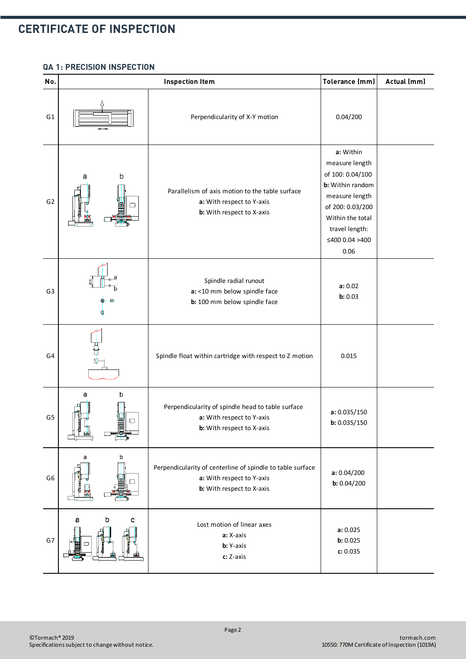#### **QA 1: PRECISION INSPECTION**

| No.            | <b>Inspection Item</b>         |                                                                                                                      | Tolerance (mm)                                                                                                                                                            | Actual (mm) |
|----------------|--------------------------------|----------------------------------------------------------------------------------------------------------------------|---------------------------------------------------------------------------------------------------------------------------------------------------------------------------|-------------|
| G <sub>1</sub> | Perpendicularity of X-Y motion |                                                                                                                      | 0.04/200                                                                                                                                                                  |             |
| G <sub>2</sub> | b<br>а                         | Parallelism of axis motion to the table surface<br>a: With respect to Y-axis<br>b: With respect to X-axis            | a: Within<br>measure length<br>of 100: 0.04/100<br>b: Within random<br>measure length<br>of 200: 0.03/200<br>Within the total<br>travel length:<br>≤400 0.04 >400<br>0.06 |             |
| G <sub>3</sub> |                                | Spindle radial runout<br>a: <10 mm below spindle face<br>b: 100 mm below spindle face                                | a: 0.02<br>b: 0.03                                                                                                                                                        |             |
| G4             |                                | Spindle float within cartridge with respect to Z motion                                                              | 0.015                                                                                                                                                                     |             |
| G <sub>5</sub> | b<br>а<br>□                    | Perpendicularity of spindle head to table surface<br>a: With respect to Y-axis<br>b: With respect to X-axis          | a: 0.035/150<br>b: 0.035/150                                                                                                                                              |             |
| G <sub>6</sub> | b<br>а                         | Perpendicularity of centerline of spindle to table surface<br>a: With respect to Y-axis<br>b: With respect to X-axis | a: 0.04/200<br>b: 0.04/200                                                                                                                                                |             |
| G7             | b<br>а<br>с                    | Lost motion of linear axes<br>a: X-axis<br>b: Y-axis<br>c: Z-axis                                                    | a: 0.025<br>b: 0.025<br>c: 0.035                                                                                                                                          |             |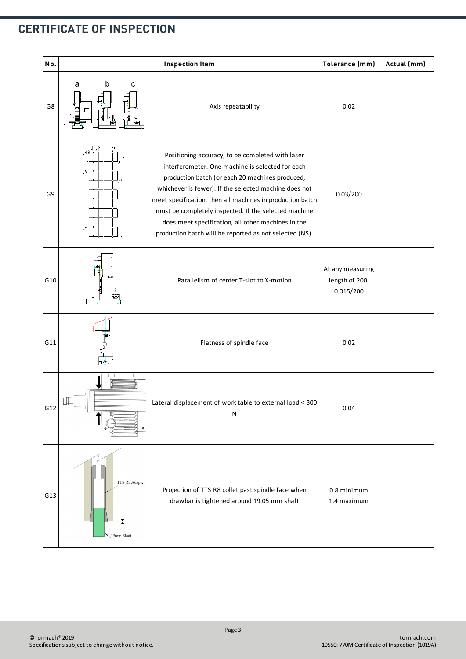| No. | <b>Inspection Item</b>              |                                                                                                                                                                                                                                                                                                                                                                                                                                                         | Tolerance (mm)                                  | Actual (mm) |
|-----|-------------------------------------|---------------------------------------------------------------------------------------------------------------------------------------------------------------------------------------------------------------------------------------------------------------------------------------------------------------------------------------------------------------------------------------------------------------------------------------------------------|-------------------------------------------------|-------------|
| G8  | b<br>а<br>с                         | 0.02<br>Axis repeatability                                                                                                                                                                                                                                                                                                                                                                                                                              |                                                 |             |
| G9  | j:1 j:2<br>j=l∲<br>j:2<br>i=2<br>j. | Positioning accuracy, to be completed with laser<br>interferometer. One machine is selected for each<br>production batch (or each 20 machines produced,<br>whichever is fewer). If the selected machine does not<br>meet specification, then all machines in production batch<br>must be completely inspected. If the selected machine<br>does meet specification, all other machines in the<br>production batch will be reported as not selected (NS). | 0.03/200                                        |             |
| G10 |                                     | Parallelism of center T-slot to X-motion                                                                                                                                                                                                                                                                                                                                                                                                                | At any measuring<br>length of 200:<br>0.015/200 |             |
| G11 |                                     | Flatness of spindle face                                                                                                                                                                                                                                                                                                                                                                                                                                | 0.02                                            |             |
| G12 |                                     | Lateral displacement of work table to external load < 300<br>N                                                                                                                                                                                                                                                                                                                                                                                          | 0.04                                            |             |
| G13 | TTS R8 Adapter<br>19mm Shaft        | Projection of TTS R8 collet past spindle face when<br>drawbar is tightened around 19.05 mm shaft                                                                                                                                                                                                                                                                                                                                                        | 0.8 minimum<br>1.4 maximum                      |             |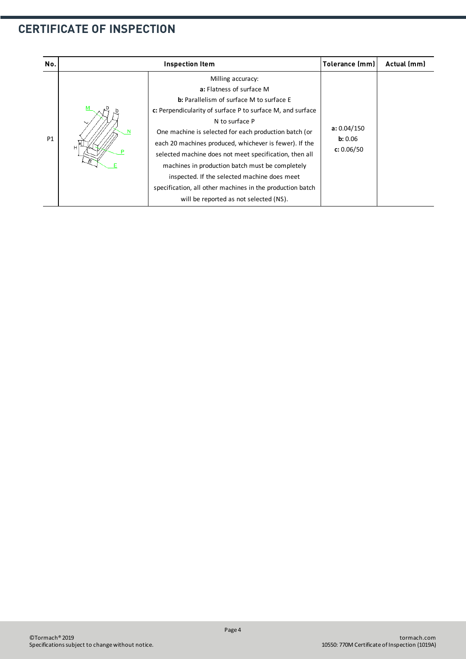| No.       |             | <b>Inspection Item</b>                                                                                                                                                                                                                                                                                                                                                                                                                                                                                                                                                  |                                      |  |
|-----------|-------------|-------------------------------------------------------------------------------------------------------------------------------------------------------------------------------------------------------------------------------------------------------------------------------------------------------------------------------------------------------------------------------------------------------------------------------------------------------------------------------------------------------------------------------------------------------------------------|--------------------------------------|--|
| <b>P1</b> | м<br>N<br>H | Milling accuracy:<br>a: Flatness of surface M<br><b>b:</b> Parallelism of surface M to surface E<br>c: Perpendicularity of surface P to surface M, and surface<br>N to surface P<br>One machine is selected for each production batch (or<br>each 20 machines produced, whichever is fewer). If the<br>selected machine does not meet specification, then all<br>machines in production batch must be completely<br>inspected. If the selected machine does meet<br>specification, all other machines in the production batch<br>will be reported as not selected (NS). | a: 0.04/150<br>b: 0.06<br>c: 0.06/50 |  |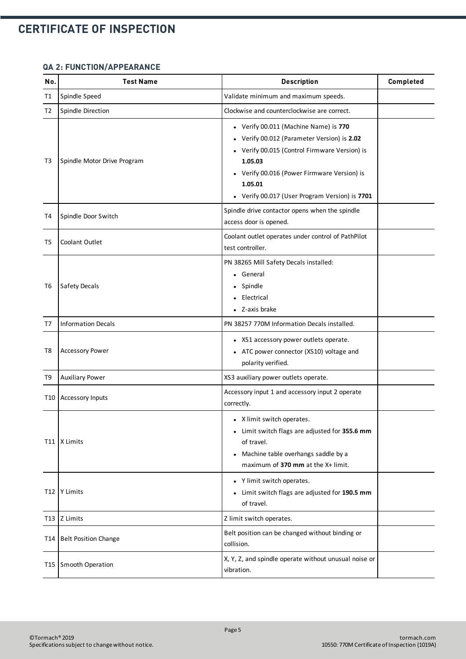#### **QA 2: FUNCTION/APPEARANCE**

| No. | <b>Test Name</b>            | <b>Description</b>                                                                                                                                                                                                                                           | Completed |
|-----|-----------------------------|--------------------------------------------------------------------------------------------------------------------------------------------------------------------------------------------------------------------------------------------------------------|-----------|
| T1  | Spindle Speed               | Validate minimum and maximum speeds.                                                                                                                                                                                                                         |           |
| T2  | Spindle Direction           | Clockwise and counterclockwise are correct.                                                                                                                                                                                                                  |           |
| T3  | Spindle Motor Drive Program | • Verify 00.011 (Machine Name) is 770<br>• Verify 00.012 (Parameter Version) is 2.02<br>• Verify 00.015 (Control Firmware Version) is<br>1.05.03<br>• Verify 00.016 (Power Firmware Version) is<br>1.05.01<br>• Verify 00.017 (User Program Version) is 7701 |           |
| T4  | Spindle Door Switch         | Spindle drive contactor opens when the spindle<br>access door is opened.                                                                                                                                                                                     |           |
| T5  | Coolant Outlet              | Coolant outlet operates under control of PathPilot<br>test controller.                                                                                                                                                                                       |           |
| T6  | <b>Safety Decals</b>        | PN 38265 Mill Safety Decals installed:<br>• General<br>• Spindle<br>Electrical<br>• Z-axis brake                                                                                                                                                             |           |
| T7  | <b>Information Decals</b>   | PN 38257 770M Information Decals installed.                                                                                                                                                                                                                  |           |
| T8  | <b>Accessory Power</b>      | • XS1 accessory power outlets operate.<br>• ATC power connector (XS10) voltage and<br>polarity verified.                                                                                                                                                     |           |
| T9  | <b>Auxiliary Power</b>      | XS3 auxiliary power outlets operate.                                                                                                                                                                                                                         |           |
| T10 | <b>Accessory Inputs</b>     | Accessory input 1 and accessory input 2 operate<br>correctly.                                                                                                                                                                                                |           |
|     | T11   X Limits              | • X limit switch operates.<br>• Limit switch flags are adjusted for 355.6 mm<br>of travel.<br>Machine table overhangs saddle by a<br>$\bullet$<br>maximum of 370 mm at the X+ limit.                                                                         |           |
|     | T12 Y Limits                | • Y limit switch operates.<br>• Limit switch flags are adjusted for 190.5 mm<br>of travel.                                                                                                                                                                   |           |
|     | T <sub>13</sub>   Z Limits  | Z limit switch operates.                                                                                                                                                                                                                                     |           |
| T14 | <b>Belt Position Change</b> | Belt position can be changed without binding or<br>collision.                                                                                                                                                                                                |           |
|     | T15 Smooth Operation        | X, Y, Z, and spindle operate without unusual noise or<br>vibration.                                                                                                                                                                                          |           |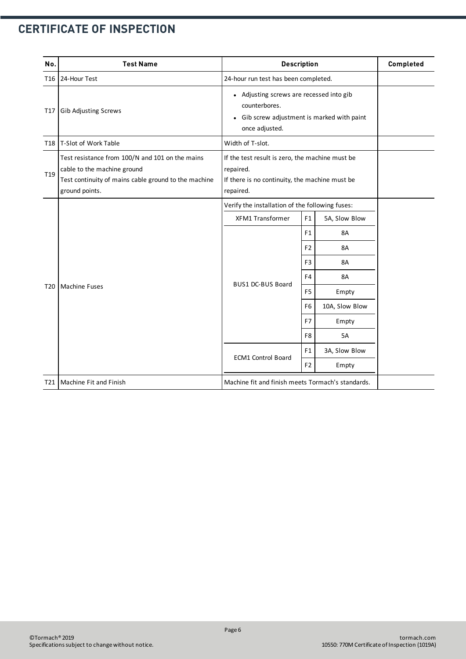| No.             | <b>Test Name</b>                                                                                                                                         | <b>Description</b>                                                                                                                    |                | Completed      |  |
|-----------------|----------------------------------------------------------------------------------------------------------------------------------------------------------|---------------------------------------------------------------------------------------------------------------------------------------|----------------|----------------|--|
| T16             | 24-Hour Test                                                                                                                                             | 24-hour run test has been completed.                                                                                                  |                |                |  |
| T17             | <b>Gib Adjusting Screws</b>                                                                                                                              | • Adjusting screws are recessed into gib<br>counterbores.<br>Gib screw adjustment is marked with paint<br>$\bullet$<br>once adjusted. |                |                |  |
| <b>T18</b>      | T-Slot of Work Table                                                                                                                                     | Width of T-slot.                                                                                                                      |                |                |  |
| T <sub>19</sub> | Test resistance from 100/N and 101 on the mains<br>cable to the machine ground<br>Test continuity of mains cable ground to the machine<br>ground points. | If the test result is zero, the machine must be<br>repaired.<br>If there is no continuity, the machine must be<br>repaired.           |                |                |  |
|                 | <b>Machine Fuses</b>                                                                                                                                     | Verify the installation of the following fuses:                                                                                       |                |                |  |
|                 |                                                                                                                                                          | <b>XFM1 Transformer</b>                                                                                                               | F1             | 5A, Slow Blow  |  |
|                 |                                                                                                                                                          | <b>BUS1 DC-BUS Board</b>                                                                                                              | F1             | 8A             |  |
|                 |                                                                                                                                                          |                                                                                                                                       | F <sub>2</sub> | <b>8A</b>      |  |
|                 |                                                                                                                                                          |                                                                                                                                       | F <sub>3</sub> | <b>8A</b>      |  |
|                 |                                                                                                                                                          |                                                                                                                                       | F <sub>4</sub> | 8A             |  |
| T <sub>20</sub> |                                                                                                                                                          |                                                                                                                                       | F <sub>5</sub> | Empty          |  |
|                 |                                                                                                                                                          |                                                                                                                                       | F <sub>6</sub> | 10A, Slow Blow |  |
|                 |                                                                                                                                                          |                                                                                                                                       | F7             | Empty          |  |
|                 |                                                                                                                                                          |                                                                                                                                       | F <sub>8</sub> | <b>5A</b>      |  |
|                 |                                                                                                                                                          |                                                                                                                                       | F1             | 3A, Slow Blow  |  |
|                 |                                                                                                                                                          | <b>ECM1 Control Board</b><br>F <sub>2</sub><br>Empty                                                                                  |                |                |  |
| T21             | Machine Fit and Finish                                                                                                                                   | Machine fit and finish meets Tormach's standards.                                                                                     |                |                |  |